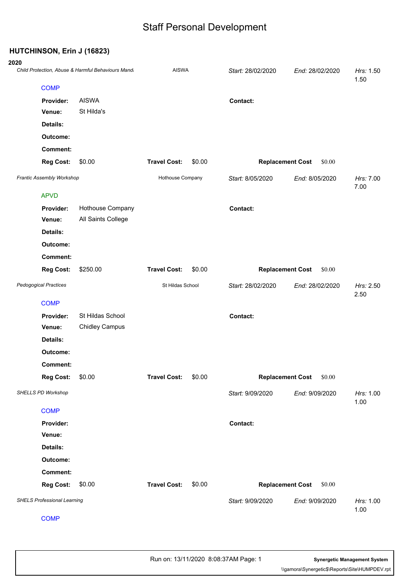#### **HUTCHINSON, Erin J (16823)**

### **2020** Child Protection, Abuse & Harmful Behaviours Mandatory Reporting20200228 *Child Protection, Abuse & Harmful Behaviours Mandatory Reporting* AISWA *Start:* 28/02/2020 *End:* 28/02/2020 *Hrs:* 1.50 1.50 **COMP Provider:** AISWA **Contact: Venue:** St Hilda's **Details: Outcome: Comment: Reg Cost:** \$0.00 **Travel Cost:** \$0.00 **Replacement Cost** \$0.00 *Frantic Assembly Workshop* Hothouse Company *Start:* 8/05/2020 *End:* 8/05/2020 *Hrs:* 7.00 7.00 APVD **Provider:** Hothouse Company **Contact: Venue:** All Saints College **Details: Outcome: Comment: Reg Cost:** \$250.00 **Travel Cost:** \$0.00 **Replacement Cost** \$0.00 *Pedogogical Practices* St Hildas School *Start:* 28/02/2020 *End:* 28/02/2020 *Hrs:* 2.50 2.50 **COMP Provider:** St Hildas School **Contact: Venue:** Chidley Campus **Details: Outcome: Comment: Reg Cost:** \$0.00 **Travel Cost:** \$0.00 **Replacement Cost** \$0.00 *SHELLS PD Workshop Start:* 9/09/2020 *End:* 9/09/2020 *Hrs:* 1.00 1.00 **COMP Provider: Contact: Venue: Details: Outcome: Comment: Reg Cost:** \$0.00 **Travel Cost:** \$0.00 **Replacement Cost** \$0.00 *SHELS Professional Learning Start:* 9/09/2020 *End:* 9/09/2020 *Hrs:* 1.00 1.00

**COMP**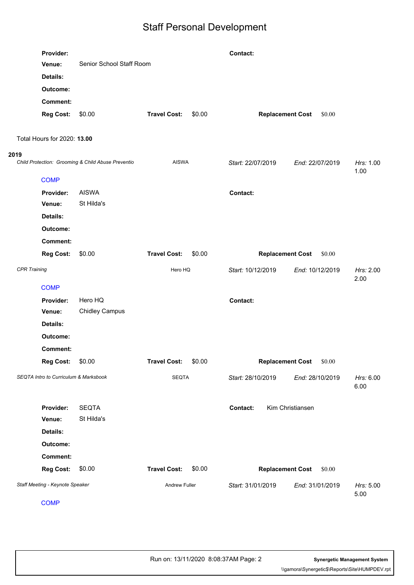|      | Provider:                             | Senior School Staff Room                           |                     |              | Contact:          |                                   |                   |
|------|---------------------------------------|----------------------------------------------------|---------------------|--------------|-------------------|-----------------------------------|-------------------|
|      | Venue:                                |                                                    |                     |              |                   |                                   |                   |
|      | Details:                              |                                                    |                     |              |                   |                                   |                   |
|      | Outcome:                              |                                                    |                     |              |                   |                                   |                   |
|      | <b>Comment:</b>                       |                                                    |                     |              |                   |                                   |                   |
|      | <b>Reg Cost:</b>                      | \$0.00                                             | <b>Travel Cost:</b> | \$0.00       |                   | <b>Replacement Cost</b><br>\$0.00 |                   |
|      |                                       |                                                    |                     |              |                   |                                   |                   |
|      | Total Hours for 2020: 13.00           |                                                    |                     |              |                   |                                   |                   |
| 2019 |                                       | Child Protection: Grooming & Child Abuse Preventio |                     | <b>AISWA</b> | Start: 22/07/2019 | End: 22/07/2019                   | Hrs: 1.00<br>1.00 |
|      | <b>COMP</b>                           |                                                    |                     |              |                   |                                   |                   |
|      | Provider:                             | <b>AISWA</b>                                       |                     |              | Contact:          |                                   |                   |
|      | Venue:                                | St Hilda's                                         |                     |              |                   |                                   |                   |
|      | <b>Details:</b>                       |                                                    |                     |              |                   |                                   |                   |
|      | Outcome:                              |                                                    |                     |              |                   |                                   |                   |
|      | <b>Comment:</b>                       |                                                    |                     |              |                   |                                   |                   |
|      | <b>Reg Cost:</b>                      | \$0.00                                             | <b>Travel Cost:</b> | \$0.00       |                   | <b>Replacement Cost</b><br>\$0.00 |                   |
|      | <b>CPR Training</b>                   |                                                    | Hero HQ             |              | Start: 10/12/2019 | End: 10/12/2019                   | Hrs: 2.00<br>2.00 |
|      | <b>COMP</b>                           |                                                    |                     |              |                   |                                   |                   |
|      | Provider:                             | Hero HQ                                            |                     |              | Contact:          |                                   |                   |
|      | Venue:                                | <b>Chidley Campus</b>                              |                     |              |                   |                                   |                   |
|      | Details:                              |                                                    |                     |              |                   |                                   |                   |
|      | Outcome:                              |                                                    |                     |              |                   |                                   |                   |
|      | <b>Comment:</b>                       |                                                    |                     |              |                   |                                   |                   |
|      | <b>Reg Cost:</b>                      | \$0.00                                             | <b>Travel Cost:</b> | \$0.00       |                   | \$0.00<br><b>Replacement Cost</b> |                   |
|      | SEQTA Intro to Curriculum & Marksbook |                                                    | <b>SEQTA</b>        |              | Start: 28/10/2019 | End: 28/10/2019                   | Hrs: 6.00<br>6.00 |
|      | Provider:                             | <b>SEQTA</b>                                       |                     |              | Contact:          | Kim Christiansen                  |                   |
|      | Venue:                                | St Hilda's                                         |                     |              |                   |                                   |                   |
|      | Details:                              |                                                    |                     |              |                   |                                   |                   |
|      | Outcome:                              |                                                    |                     |              |                   |                                   |                   |
|      | <b>Comment:</b>                       |                                                    |                     |              |                   |                                   |                   |
|      | <b>Reg Cost:</b>                      | \$0.00                                             | <b>Travel Cost:</b> | \$0.00       |                   | <b>Replacement Cost</b><br>\$0.00 |                   |
|      | Staff Meeting - Keynote Speaker       |                                                    | Andrew Fuller       |              | Start: 31/01/2019 | End: 31/01/2019                   | Hrs: 5.00<br>5.00 |
|      |                                       |                                                    |                     |              |                   |                                   |                   |

COMP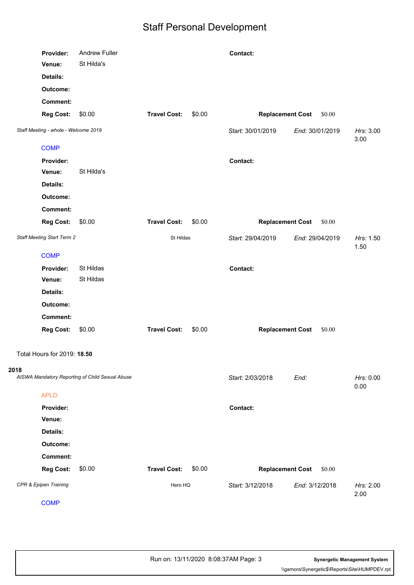| Provider:<br>Venue:         | Andrew Fuller<br>St Hilda's                     |                     | Contact:          |                                   |                   |
|-----------------------------|-------------------------------------------------|---------------------|-------------------|-----------------------------------|-------------------|
| Details:<br>Outcome:        |                                                 |                     |                   |                                   |                   |
| <b>Comment:</b>             |                                                 |                     |                   |                                   |                   |
| <b>Reg Cost:</b>            | \$0.00                                          | <b>Travel Cost:</b> | \$0.00            | <b>Replacement Cost</b><br>\$0.00 |                   |
|                             | Staff Meeting - whole - Welcome 2019            |                     | Start: 30/01/2019 | End: 30/01/2019                   | Hrs: 3.00<br>3.00 |
| <b>COMP</b>                 |                                                 |                     |                   |                                   |                   |
| Provider:                   |                                                 |                     | Contact:          |                                   |                   |
| Venue:                      | St Hilda's                                      |                     |                   |                                   |                   |
| Details:                    |                                                 |                     |                   |                                   |                   |
| Outcome:                    |                                                 |                     |                   |                                   |                   |
| <b>Comment:</b>             |                                                 |                     |                   |                                   |                   |
| <b>Reg Cost:</b>            | \$0.00                                          | <b>Travel Cost:</b> | \$0.00            | <b>Replacement Cost</b><br>\$0.00 |                   |
|                             | Staff Meeting Start Term 2                      |                     | Start: 29/04/2019 | End: 29/04/2019                   | Hrs: 1.50<br>1.50 |
| <b>COMP</b>                 |                                                 |                     |                   |                                   |                   |
| Provider:                   | St Hildas                                       |                     | Contact:          |                                   |                   |
| Venue:                      | St Hildas                                       |                     |                   |                                   |                   |
| Details:                    |                                                 |                     |                   |                                   |                   |
| Outcome:                    |                                                 |                     |                   |                                   |                   |
| <b>Comment:</b>             |                                                 |                     |                   |                                   |                   |
| <b>Reg Cost:</b>            | \$0.00                                          | <b>Travel Cost:</b> | \$0.00            | <b>Replacement Cost</b><br>\$0.00 |                   |
| Total Hours for 2019: 18.50 |                                                 |                     |                   |                                   |                   |
| 2018                        |                                                 |                     |                   |                                   |                   |
|                             | AISWA Mandatory Reporting of Child Sexual Abuse |                     | Start: 2/03/2018  | End:                              | Hrs: 0.00<br>0.00 |
| <b>APLD</b>                 |                                                 |                     |                   |                                   |                   |
| Provider:                   |                                                 |                     | Contact:          |                                   |                   |
| Venue:                      |                                                 |                     |                   |                                   |                   |
| Details:                    |                                                 |                     |                   |                                   |                   |
| Outcome:                    |                                                 |                     |                   |                                   |                   |
| <b>Comment:</b>             |                                                 |                     |                   |                                   |                   |
| <b>Reg Cost:</b>            | \$0.00                                          | <b>Travel Cost:</b> | \$0.00            | <b>Replacement Cost</b><br>\$0.00 |                   |
| CPR & Epipen Training       |                                                 | Hero HQ             | Start: 3/12/2018  | End: 3/12/2018                    | Hrs: 2.00<br>2.00 |
| <b>COMP</b>                 |                                                 |                     |                   |                                   |                   |